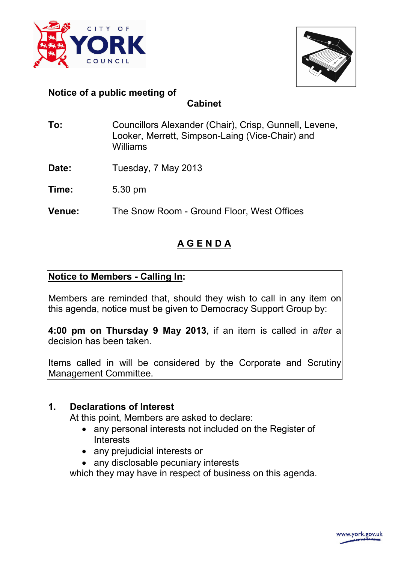



## **Notice of a public meeting of**

**Cabinet**

- **To:** Councillors Alexander (Chair), Crisp, Gunnell, Levene, Looker, Merrett, Simpson-Laing (Vice-Chair) and Williams
- Date: Tuesday, 7 May 2013
- **Time:** 5.30 pm
- **Venue:** The Snow Room Ground Floor, West Offices

# **A G E N D A**

## **Notice to Members - Calling In:**

Members are reminded that, should they wish to call in any item on this agenda, notice must be given to Democracy Support Group by:

**4:00 pm on Thursday 9 May 2013**, if an item is called in *after* a decision has been taken.

Items called in will be considered by the Corporate and Scrutiny Management Committee.

## **1. Declarations of Interest**

At this point, Members are asked to declare:

- any personal interests not included on the Register of **Interests**
- any prejudicial interests or
- any disclosable pecuniary interests

which they may have in respect of business on this agenda.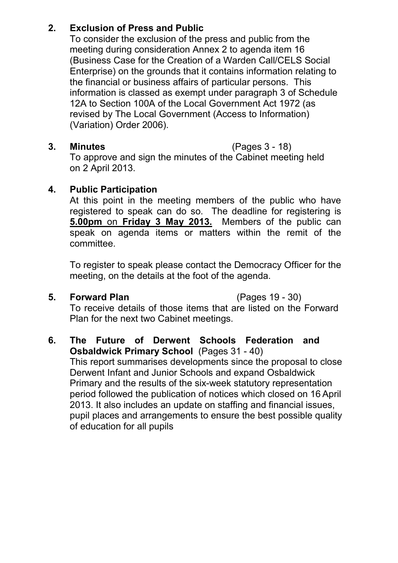## **2. Exclusion of Press and Public**

 To consider the exclusion of the press and public from the meeting during consideration Annex 2 to agenda item 16 (Business Case for the Creation of a Warden Call/CELS Social Enterprise) on the grounds that it contains information relating to the financial or business affairs of particular persons. This information is classed as exempt under paragraph 3 of Schedule 12A to Section 100A of the Local Government Act 1972 (as revised by The Local Government (Access to Information) (Variation) Order 2006).

## **3. Minutes** (Pages 3 - 18)

 To approve and sign the minutes of the Cabinet meeting held on 2 April 2013.

## **4. Public Participation**

 At this point in the meeting members of the public who have registered to speak can do so. The deadline for registering is **5.00pm** on **Friday 3 May 2013.** Members of the public can speak on agenda items or matters within the remit of the committee.

To register to speak please contact the Democracy Officer for the meeting, on the details at the foot of the agenda.

**5. Forward Plan** (Pages 19 - 30)

 To receive details of those items that are listed on the Forward Plan for the next two Cabinet meetings.

## **6. The Future of Derwent Schools Federation and Osbaldwick Primary School** (Pages 31 - 40)

 This report summarises developments since the proposal to close Derwent Infant and Junior Schools and expand Osbaldwick Primary and the results of the six-week statutory representation period followed the publication of notices which closed on 16 April 2013. It also includes an update on staffing and financial issues, pupil places and arrangements to ensure the best possible quality of education for all pupils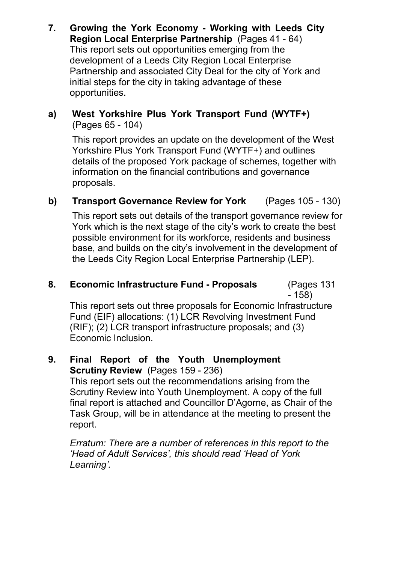**7. Growing the York Economy - Working with Leeds City Region Local Enterprise Partnership** (Pages 41 - 64) This report sets out opportunities emerging from the development of a Leeds City Region Local Enterprise Partnership and associated City Deal for the city of York and initial steps for the city in taking advantage of these opportunities.

## **a) West Yorkshire Plus York Transport Fund (WYTF+)**  (Pages 65 - 104)

 This report provides an update on the development of the West Yorkshire Plus York Transport Fund (WYTF+) and outlines details of the proposed York package of schemes, together with information on the financial contributions and governance proposals.

**b) Transport Governance Review for York** (Pages 105 - 130)

 This report sets out details of the transport governance review for York which is the next stage of the city's work to create the best possible environment for its workforce, residents and business base, and builds on the city's involvement in the development of the Leeds City Region Local Enterprise Partnership (LEP).

### **8. Economic Infrastructure Fund - Proposals** (Pages 131 - 158)

 This report sets out three proposals for Economic Infrastructure Fund (EIF) allocations: (1) LCR Revolving Investment Fund (RIF); (2) LCR transport infrastructure proposals; and (3) Economic Inclusion.

### **9. Final Report of the Youth Unemployment Scrutiny Review** (Pages 159 - 236)

 This report sets out the recommendations arising from the Scrutiny Review into Youth Unemployment. A copy of the full final report is attached and Councillor D'Agorne, as Chair of the Task Group, will be in attendance at the meeting to present the report.

*Erratum: There are a number of references in this report to the 'Head of Adult Services', this should read 'Head of York Learning'.*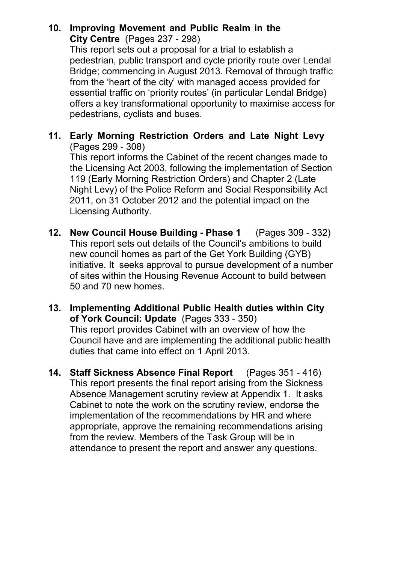## **10. Improving Movement and Public Realm in the City Centre** (Pages 237 - 298)

 This report sets out a proposal for a trial to establish a pedestrian, public transport and cycle priority route over Lendal Bridge; commencing in August 2013. Removal of through traffic from the 'heart of the city' with managed access provided for essential traffic on 'priority routes' (in particular Lendal Bridge) offers a key transformational opportunity to maximise access for pedestrians, cyclists and buses.

## **11. Early Morning Restriction Orders and Late Night Levy**  (Pages 299 - 308)

 This report informs the Cabinet of the recent changes made to the Licensing Act 2003, following the implementation of Section 119 (Early Morning Restriction Orders) and Chapter 2 (Late Night Levy) of the Police Reform and Social Responsibility Act 2011, on 31 October 2012 and the potential impact on the Licensing Authority.

- **12. New Council House Building Phase 1** (Pages 309 332) This report sets out details of the Council's ambitions to build new council homes as part of the Get York Building (GYB) initiative. It seeks approval to pursue development of a number of sites within the Housing Revenue Account to build between 50 and 70 new homes.
- **13. Implementing Additional Public Health duties within City of York Council: Update** (Pages 333 - 350) This report provides Cabinet with an overview of how the Council have and are implementing the additional public health duties that came into effect on 1 April 2013.
- **14. Staff Sickness Absence Final Report** (Pages 351 416) This report presents the final report arising from the Sickness Absence Management scrutiny review at Appendix 1. It asks Cabinet to note the work on the scrutiny review, endorse the implementation of the recommendations by HR and where appropriate, approve the remaining recommendations arising from the review. Members of the Task Group will be in attendance to present the report and answer any questions.